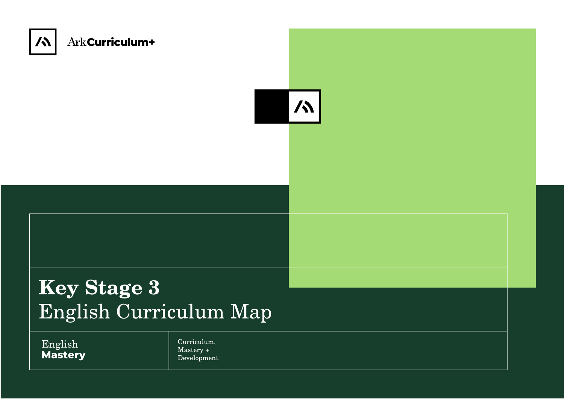